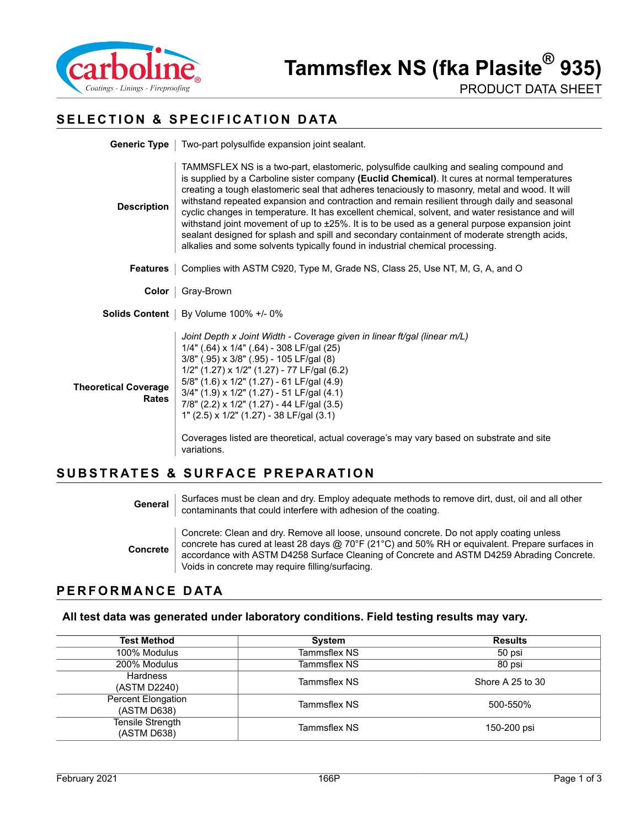

PRODUCT DATA SHEET

### **SELECTION & SPECIFICATION DATA**

| Generic Type                                | Two-part polysulfide expansion joint sealant.                                                                                                                                                                                                                                                                                                                                                                                                                                                                                                                                                                                                                                                                                                                                        |  |
|---------------------------------------------|--------------------------------------------------------------------------------------------------------------------------------------------------------------------------------------------------------------------------------------------------------------------------------------------------------------------------------------------------------------------------------------------------------------------------------------------------------------------------------------------------------------------------------------------------------------------------------------------------------------------------------------------------------------------------------------------------------------------------------------------------------------------------------------|--|
| <b>Description</b>                          | TAMMSFLEX NS is a two-part, elastomeric, polysulfide caulking and sealing compound and<br>is supplied by a Carboline sister company (Euclid Chemical). It cures at normal temperatures<br>creating a tough elastomeric seal that adheres tenaciously to masonry, metal and wood. It will<br>withstand repeated expansion and contraction and remain resilient through daily and seasonal<br>cyclic changes in temperature. It has excellent chemical, solvent, and water resistance and will<br>withstand joint movement of up to $\pm 25\%$ . It is to be used as a general purpose expansion joint<br>sealant designed for splash and spill and secondary containment of moderate strength acids,<br>alkalies and some solvents typically found in industrial chemical processing. |  |
| <b>Features</b>                             | Complies with ASTM C920, Type M, Grade NS, Class 25, Use NT, M, G, A, and O                                                                                                                                                                                                                                                                                                                                                                                                                                                                                                                                                                                                                                                                                                          |  |
| Color                                       | Gray-Brown                                                                                                                                                                                                                                                                                                                                                                                                                                                                                                                                                                                                                                                                                                                                                                           |  |
|                                             | Solids Content   By Volume 100% +/- 0%                                                                                                                                                                                                                                                                                                                                                                                                                                                                                                                                                                                                                                                                                                                                               |  |
| <b>Theoretical Coverage</b><br><b>Rates</b> | Joint Depth x Joint Width - Coverage given in linear ft/gal (linear m/L)<br>1/4" (.64) x 1/4" (.64) - 308 LF/gal (25)<br>$3/8$ " (.95) x $3/8$ " (.95) - 105 LF/gal (8)<br>$1/2$ " (1.27) x $1/2$ " (1.27) - 77 LF/gal (6.2)<br>$5/8$ " (1.6) x 1/2" (1.27) - 61 LF/gal (4.9)<br>3/4" (1.9) x 1/2" (1.27) - 51 LF/gal (4.1)<br>$7/8$ " (2.2) x $1/2$ " (1.27) - 44 LF/gal (3.5)<br>1" (2.5) x 1/2" (1.27) - 38 LF/gal (3.1)<br>Coverages listed are theoretical, actual coverage's may vary based on substrate and site<br>variations.                                                                                                                                                                                                                                               |  |

#### **SUBSTRATES & SURFACE PREPARATION**

**General** Surfaces must be clean and dry. Employ adequate methods to remove dirt, dust, oil and all other contaminants that could interfere with adhesion of the coating.

**Concrete** Concrete: Clean and dry. Remove all loose, unsound concrete. Do not apply coating unless concrete has cured at least 28 days @ 70°F (21°C) and 50% RH or equivalent. Prepare surfaces in accordance with ASTM D4258 Surface Cleaning of Concrete and ASTM D4259 Abrading Concrete. Voids in concrete may require filling/surfacing.

#### **PERFORMANCE DATA**

#### **All test data was generated under laboratory conditions. Field testing results may vary.**

| <b>Test Method</b>                | <b>System</b> | <b>Results</b>   |
|-----------------------------------|---------------|------------------|
| 100% Modulus                      | Tammsflex NS  | 50 psi           |
| 200% Modulus                      | Tammsflex NS  | 80 psi           |
| Hardness<br>(ASTM D2240)          | Tammsflex NS  | Shore A 25 to 30 |
| Percent Elongation<br>(ASTM D638) | Tammsflex NS  | 500-550%         |
| Tensile Strength<br>(ASTM D638)   | Tammsflex NS  | 150-200 psi      |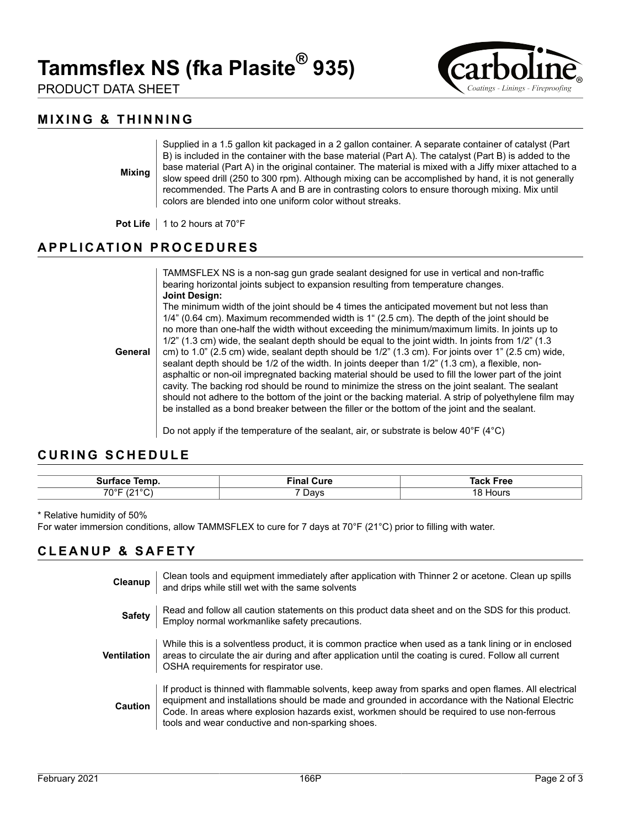# **Tammsflex NS (fka Plasite® 935)**

PRODUCT DATA SHEET



# **MIXING & THINNING**

**Mixing**

Supplied in a 1.5 gallon kit packaged in a 2 gallon container. A separate container of catalyst (Part B) is included in the container with the base material (Part A). The catalyst (Part B) is added to the base material (Part A) in the original container. The material is mixed with a Jiffy mixer attached to a slow speed drill (250 to 300 rpm). Although mixing can be accomplished by hand, it is not generally recommended. The Parts A and B are in contrasting colors to ensure thorough mixing. Mix until colors are blended into one uniform color without streaks.

**Pot Life** | 1 to 2 hours at 70°F

## **APPLICATION PROCEDURES**

TAMMSFLEX NS is a non-sag gun grade sealant designed for use in vertical and non-traffic bearing horizontal joints subject to expansion resulting from temperature changes. **Joint Design:**

**General** The minimum width of the joint should be 4 times the anticipated movement but not less than 1/4" (0.64 cm). Maximum recommended width is 1" (2.5 cm). The depth of the joint should be no more than one-half the width without exceeding the minimum/maximum limits. In joints up to 1/2" (1.3 cm) wide, the sealant depth should be equal to the joint width. In joints from 1/2" (1.3 cm) to 1.0" (2.5 cm) wide, sealant depth should be 1/2" (1.3 cm). For joints over 1" (2.5 cm) wide, sealant depth should be 1/2 of the width. In joints deeper than 1/2" (1.3 cm), a flexible, nonasphaltic or non-oil impregnated backing material should be used to fill the lower part of the joint cavity. The backing rod should be round to minimize the stress on the joint sealant. The sealant should not adhere to the bottom of the joint or the backing material. A strip of polyethylene film may be installed as a bond breaker between the filler or the bottom of the joint and the sealant.

Do not apply if the temperature of the sealant, air, or substrate is below 40°F (4°C)

#### **CURING SCHEDULE**

| -----<br>-311<br>. | Cure<br>$\cdots$<br>ш | ™ree<br>ан |
|--------------------|-----------------------|------------|
| $\overline{100}$   | )avs                  | HOUIS.     |
| $70^{\circ}$ F     | ັ                     | ιõ         |

\* Relative humidity of 50%

For water immersion conditions, allow TAMMSFLEX to cure for 7 days at 70°F (21°C) prior to filling with water.

#### **CLEANUP & SAFETY**

| Cleanup        | Clean tools and equipment immediately after application with Thinner 2 or acetone. Clean up spills<br>and drips while still wet with the same solvents                                                                                                                                                                                                       |
|----------------|--------------------------------------------------------------------------------------------------------------------------------------------------------------------------------------------------------------------------------------------------------------------------------------------------------------------------------------------------------------|
| <b>Safety</b>  | Read and follow all caution statements on this product data sheet and on the SDS for this product.<br>Employ normal workmanlike safety precautions.                                                                                                                                                                                                          |
| Ventilation    | While this is a solventless product, it is common practice when used as a tank lining or in enclosed<br>areas to circulate the air during and after application until the coating is cured. Follow all current<br>OSHA requirements for respirator use.                                                                                                      |
| <b>Caution</b> | If product is thinned with flammable solvents, keep away from sparks and open flames. All electrical<br>equipment and installations should be made and grounded in accordance with the National Electric<br>Code. In areas where explosion hazards exist, workmen should be required to use non-ferrous<br>tools and wear conductive and non-sparking shoes. |